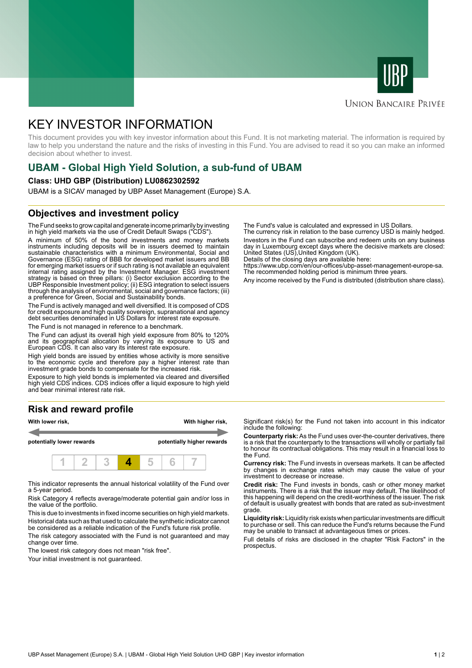



# **UNION BANCAIRE PRIVÉE**

# KEY INVESTOR INFORMATION

This document provides you with key investor information about this Fund. It is not marketing material. The information is required by law to help you understand the nature and the risks of investing in this Fund. You are advised to read it so you can make an informed decision about whether to invest.

# **UBAM - Global High Yield Solution, a sub-fund of UBAM**

### **Class: UHD GBP (Distribution) LU0862302592**

UBAM is a SICAV managed by UBP Asset Management (Europe) S.A.

# **Objectives and investment policy**

The Fund seeks to grow capital and generate income primarily by investing in high yield markets via the use of Credit Default Swaps ("CDS").

A minimum of 50% of the bond investments and money markets instruments including deposits will be in issuers deemed to maintain sustainable characteristics with a minimum Environmental, Social and Governance (ESG) rating of BBB for developed market issuers and BB for emerging market issuers or if such rating is not available an equivalent internal rating assigned by the Investment Manager. ESG investment strategy is based on three pillars: (i) Sector exclusion according to the UBP Responsible Investment policy; (ii) ESG integration to select issuers through the analysis of environmental, social and governance factors; (iii) a preference for Green, Social and Sustainability bonds.

The Fund is actively managed and well diversified. It is composed of CDS for credit exposure and high quality sovereign, supranational and agency debt securities denominated in US Dollars for interest rate exposure.

The Fund is not managed in reference to a benchmark.

The Fund can adjust its overall high yield exposure from 80% to 120% and its geographical allocation by varying its exposure to US and European CDS. It can also vary its interest rate exposure.

High yield bonds are issued by entities whose activity is more sensitive to the economic cycle and therefore pay a higher interest rate than investment grade bonds to compensate for the increased risk.

Exposure to high yield bonds is implemented via cleared and diversified high yield CDS indices. CDS indices offer a liquid exposure to high yield and bear minimal interest rate risk.

# **Risk and reward profile**



This indicator represents the annual historical volatility of the Fund over a 5-year period.

Risk Category 4 reflects average/moderate potential gain and/or loss in the value of the portfolio.

This is due to investments in fixed income securities on high yield markets. Historical data such as that used to calculate the synthetic indicator cannot be considered as a reliable indication of the Fund's future risk profile. The risk category associated with the Fund is not guaranteed and may

change over time.

The lowest risk category does not mean "risk free".

Your initial investment is not guaranteed.

The Fund's value is calculated and expressed in US Dollars.

The currency risk in relation to the base currency USD is mainly hedged. Investors in the Fund can subscribe and redeem units on any business day in Luxembourg except days where the decisive markets are closed: United States (US),United Kingdom (UK).

Details of the closing days are available here: https://www.ubp.com/en/our-offices/ubp-asset-management-europe-sa.

The recommended holding period is minimum three years.

Any income received by the Fund is distributed (distribution share class).

Significant risk(s) for the Fund not taken into account in this indicator include the following:

**Counterparty risk:** As the Fund uses over-the-counter derivatives, there is a risk that the counterparty to the transactions will wholly or partially fail to honour its contractual obligations. This may result in a financial loss to the Fund.

**Currency risk:** The Fund invests in overseas markets. It can be affected by changes in exchange rates which may cause the value of your investment to decrease or increase.

**Credit risk:** The Fund invests in bonds, cash or other money market instruments. There is a risk that the issuer may default. The likelihood of this happening will depend on the credit-worthiness of the issuer. The risk of default is usually greatest with bonds that are rated as sub-investment grade.

**Liquidity risk:** Liquidity risk exists when particular investments are difficult to purchase or sell. This can reduce the Fund's returns because the Fund may be unable to transact at advantageous times or prices.

Full details of risks are disclosed in the chapter "Risk Factors" in the prospectus.